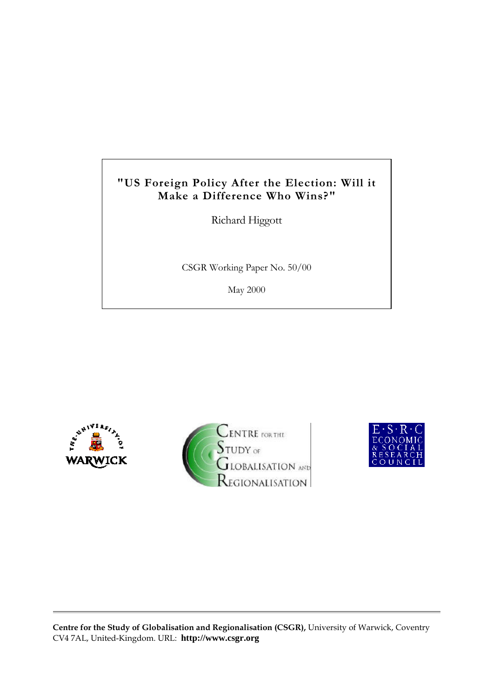# **"US Foreign Policy After the Election: Will it Make a Difference Who Wins?"**

Richard Higgott

CSGR Working Paper No. 50/00

May 2000







**Centre for the Study of Globalisation and Regionalisation (CSGR),** University of Warwick, Coventry CV4 7AL, United-Kingdom. URL: **http://www.csgr.org**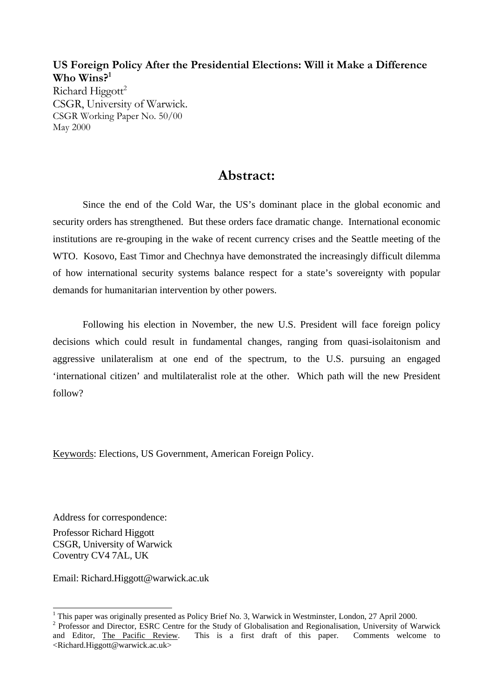## **US Foreign Policy After the Presidential Elections: Will it Make a Difference Who Wins?<sup>1</sup>**

Richard  $Higgott^2$ CSGR, University of Warwick. CSGR Working Paper No. 50/00 May 2000

## **Abstract:**

Since the end of the Cold War, the US's dominant place in the global economic and security orders has strengthened. But these orders face dramatic change. International economic institutions are re-grouping in the wake of recent currency crises and the Seattle meeting of the WTO. Kosovo, East Timor and Chechnya have demonstrated the increasingly difficult dilemma of how international security systems balance respect for a state's sovereignty with popular demands for humanitarian intervention by other powers.

Following his election in November, the new U.S. President will face foreign policy decisions which could result in fundamental changes, ranging from quasi-isolaitonism and aggressive unilateralism at one end of the spectrum, to the U.S. pursuing an engaged 'international citizen' and multilateralist role at the other. Which path will the new President follow?

Keywords: Elections, US Government, American Foreign Policy.

Address for correspondence:

Professor Richard Higgott CSGR, University of Warwick Coventry CV4 7AL, UK

Email: Richard.Higgott@warwick.ac.uk

 $\overline{a}$ <sup>1</sup> This paper was originally presented as Policy Brief No. 3, Warwick in Westminster, London, 27 April 2000.

<sup>&</sup>lt;sup>2</sup> Professor and Director, ESRC Centre for the Study of Globalisation and Regionalisation, University of Warwick and Editor, The Pacific Review. This is a first draft of this paper. Comments welcome to <Richard.Higgott@warwick.ac.uk>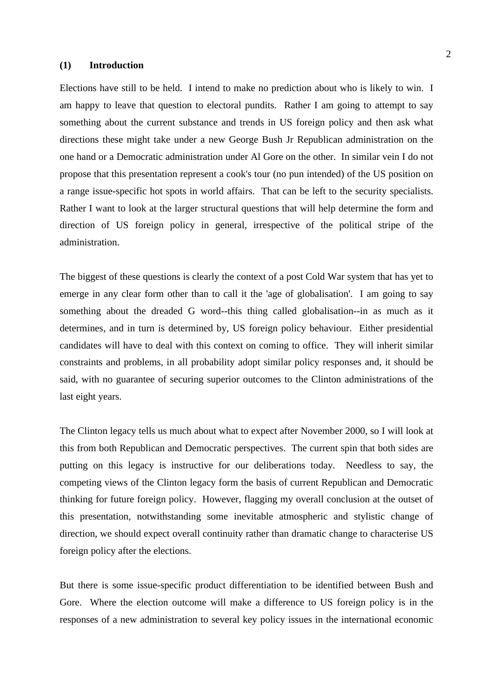#### **(1) Introduction**

Elections have still to be held. I intend to make no prediction about who is likely to win. I am happy to leave that question to electoral pundits. Rather I am going to attempt to say something about the current substance and trends in US foreign policy and then ask what directions these might take under a new George Bush Jr Republican administration on the one hand or a Democratic administration under Al Gore on the other. In similar vein I do not propose that this presentation represent a cook's tour (no pun intended) of the US position on a range issue-specific hot spots in world affairs. That can be left to the security specialists. Rather I want to look at the larger structural questions that will help determine the form and direction of US foreign policy in general, irrespective of the political stripe of the administration.

The biggest of these questions is clearly the context of a post Cold War system that has yet to emerge in any clear form other than to call it the 'age of globalisation'. I am going to say something about the dreaded G word--this thing called globalisation--in as much as it determines, and in turn is determined by, US foreign policy behaviour. Either presidential candidates will have to deal with this context on coming to office. They will inherit similar constraints and problems, in all probability adopt similar policy responses and, it should be said, with no guarantee of securing superior outcomes to the Clinton administrations of the last eight years.

The Clinton legacy tells us much about what to expect after November 2000, so I will look at this from both Republican and Democratic perspectives. The current spin that both sides are putting on this legacy is instructive for our deliberations today. Needless to say, the competing views of the Clinton legacy form the basis of current Republican and Democratic thinking for future foreign policy. However, flagging my overall conclusion at the outset of this presentation, notwithstanding some inevitable atmospheric and stylistic change of direction, we should expect overall continuity rather than dramatic change to characterise US foreign policy after the elections.

But there is some issue-specific product differentiation to be identified between Bush and Gore. Where the election outcome will make a difference to US foreign policy is in the responses of a new administration to several key policy issues in the international economic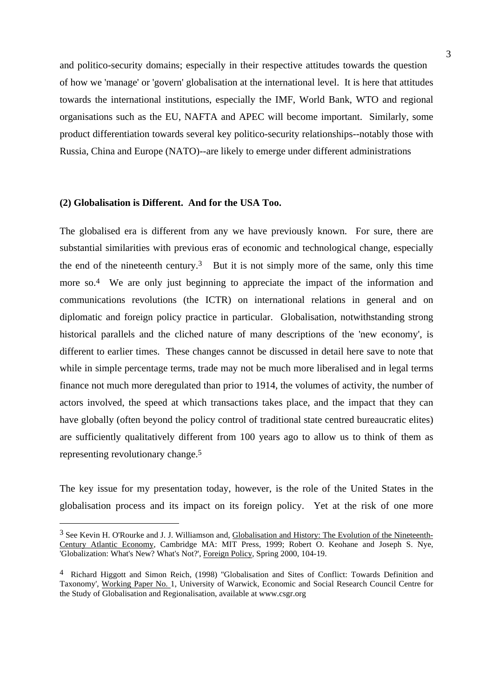and politico-security domains; especially in their respective attitudes towards the question of how we 'manage' or 'govern' globalisation at the international level. It is here that attitudes towards the international institutions, especially the IMF, World Bank, WTO and regional organisations such as the EU, NAFTA and APEC will become important. Similarly, some product differentiation towards several key politico-security relationships--notably those with Russia, China and Europe (NATO)--are likely to emerge under different administrations

## **(2) Globalisation is Different. And for the USA Too.**

 $\overline{a}$ 

The globalised era is different from any we have previously known. For sure, there are substantial similarities with previous eras of economic and technological change, especially the end of the nineteenth century.<sup>3</sup> But it is not simply more of the same, only this time more so.<sup>4</sup> We are only just beginning to appreciate the impact of the information and communications revolutions (the ICTR) on international relations in general and on diplomatic and foreign policy practice in particular. Globalisation, notwithstanding strong historical parallels and the cliched nature of many descriptions of the 'new economy', is different to earlier times. These changes cannot be discussed in detail here save to note that while in simple percentage terms, trade may not be much more liberalised and in legal terms finance not much more deregulated than prior to 1914, the volumes of activity, the number of actors involved, the speed at which transactions takes place, and the impact that they can have globally (often beyond the policy control of traditional state centred bureaucratic elites) are sufficiently qualitatively different from 100 years ago to allow us to think of them as representing revolutionary change.5

The key issue for my presentation today, however, is the role of the United States in the globalisation process and its impact on its foreign policy. Yet at the risk of one more

<sup>3</sup> See Kevin H. O'Rourke and J. J. Williamson and, Globalisation and History: The Evolution of the Nineteenth-Century Atlantic Economy, Cambridge MA: MIT Press, 1999; Robert O. Keohane and Joseph S. Nye, 'Globalization: What's New? What's Not?', Foreign Policy, Spring 2000, 104-19.

<sup>4</sup> Richard Higgott and Simon Reich, (1998) ''Globalisation and Sites of Conflict: Towards Definition and Taxonomy', Working Paper No. 1, University of Warwick, Economic and Social Research Council Centre for the Study of Globalisation and Regionalisation, available at www.csgr.org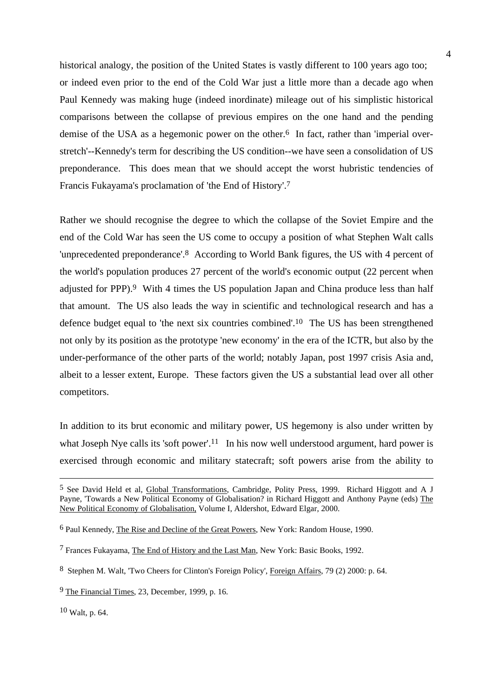historical analogy, the position of the United States is vastly different to 100 years ago too; or indeed even prior to the end of the Cold War just a little more than a decade ago when Paul Kennedy was making huge (indeed inordinate) mileage out of his simplistic historical comparisons between the collapse of previous empires on the one hand and the pending demise of the USA as a hegemonic power on the other.<sup>6</sup> In fact, rather than 'imperial overstretch'--Kennedy's term for describing the US condition--we have seen a consolidation of US preponderance. This does mean that we should accept the worst hubristic tendencies of Francis Fukayama's proclamation of 'the End of History'.7

Rather we should recognise the degree to which the collapse of the Soviet Empire and the end of the Cold War has seen the US come to occupy a position of what Stephen Walt calls 'unprecedented preponderance'.8 According to World Bank figures, the US with 4 percent of the world's population produces 27 percent of the world's economic output (22 percent when adjusted for PPP).9 With 4 times the US population Japan and China produce less than half that amount. The US also leads the way in scientific and technological research and has a defence budget equal to 'the next six countries combined'.10 The US has been strengthened not only by its position as the prototype 'new economy' in the era of the ICTR, but also by the under-performance of the other parts of the world; notably Japan, post 1997 crisis Asia and, albeit to a lesser extent, Europe. These factors given the US a substantial lead over all other competitors.

In addition to its brut economic and military power, US hegemony is also under written by what Joseph Nye calls its 'soft power'.<sup>11</sup> In his now well understood argument, hard power is exercised through economic and military statecraft; soft powers arise from the ability to

10 Walt, p. 64.

<sup>5</sup> See David Held et al, Global Transformations, Cambridge, Polity Press, 1999. Richard Higgott and A J Payne, 'Towards a New Political Economy of Globalisation? in Richard Higgott and Anthony Payne (eds) The New Political Economy of Globalisation, Volume I, Aldershot, Edward Elgar, 2000.

<sup>6</sup> Paul Kennedy, The Rise and Decline of the Great Powers, New York: Random House, 1990.

<sup>7</sup> Frances Fukayama, The End of History and the Last Man, New York: Basic Books, 1992.

<sup>8</sup> Stephen M. Walt, 'Two Cheers for Clinton's Foreign Policy', Foreign Affairs, 79 (2) 2000: p. 64.

<sup>9</sup> The Financial Times, 23, December, 1999, p. 16.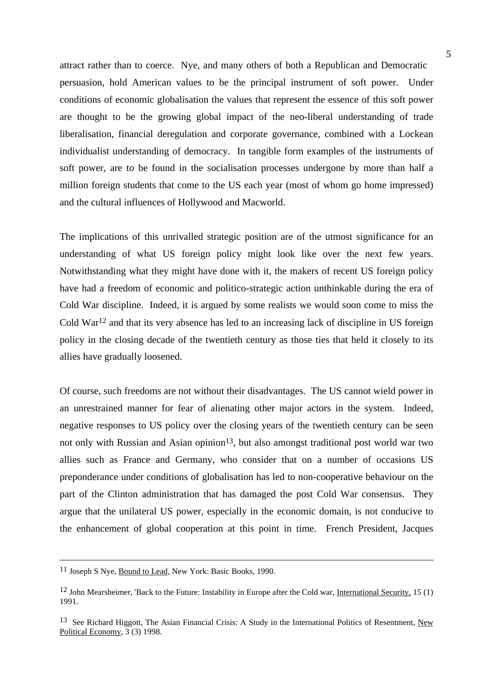attract rather than to coerce. Nye, and many others of both a Republican and Democratic persuasion, hold American values to be the principal instrument of soft power. Under conditions of economic globalisation the values that represent the essence of this soft power are thought to be the growing global impact of the neo-liberal understanding of trade liberalisation, financial deregulation and corporate governance, combined with a Lockean individualist understanding of democracy. In tangible form examples of the instruments of soft power, are to be found in the socialisation processes undergone by more than half a million foreign students that come to the US each year (most of whom go home impressed) and the cultural influences of Hollywood and Macworld.

The implications of this unrivalled strategic position are of the utmost significance for an understanding of what US foreign policy might look like over the next few years. Notwithstanding what they might have done with it, the makers of recent US foreign policy have had a freedom of economic and politico-strategic action unthinkable during the era of Cold War discipline. Indeed, it is argued by some realists we would soon come to miss the Cold War12 and that its very absence has led to an increasing lack of discipline in US foreign policy in the closing decade of the twentieth century as those ties that held it closely to its allies have gradually loosened.

Of course, such freedoms are not without their disadvantages. The US cannot wield power in an unrestrained manner for fear of alienating other major actors in the system. Indeed, negative responses to US policy over the closing years of the twentieth century can be seen not only with Russian and Asian opinion<sup>13</sup>, but also amongst traditional post world war two allies such as France and Germany, who consider that on a number of occasions US preponderance under conditions of globalisation has led to non-cooperative behaviour on the part of the Clinton administration that has damaged the post Cold War consensus. They argue that the unilateral US power, especially in the economic domain, is not conducive to the enhancement of global cooperation at this point in time. French President, Jacques

<sup>11</sup> Joseph S Nye, Bound to Lead, New York: Basic Books, 1990.

<sup>12</sup> John Mearsheimer, 'Back to the Future: Instability in Europe after the Cold war, International Security, 15 (1) 1991.

<sup>13</sup> See Richard Higgott, The Asian Financial Crisis: A Study in the International Politics of Resentment, New Political Economy,  $3(3)$  1998.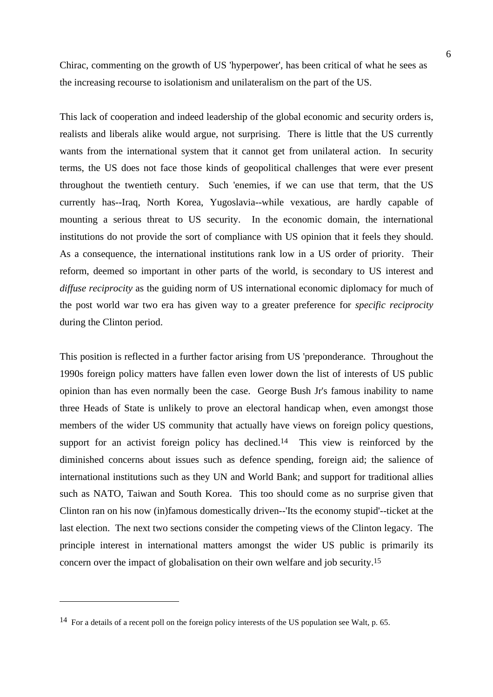Chirac, commenting on the growth of US 'hyperpower', has been critical of what he sees as the increasing recourse to isolationism and unilateralism on the part of the US.

This lack of cooperation and indeed leadership of the global economic and security orders is, realists and liberals alike would argue, not surprising. There is little that the US currently wants from the international system that it cannot get from unilateral action. In security terms, the US does not face those kinds of geopolitical challenges that were ever present throughout the twentieth century. Such 'enemies, if we can use that term, that the US currently has--Iraq, North Korea, Yugoslavia--while vexatious, are hardly capable of mounting a serious threat to US security. In the economic domain, the international institutions do not provide the sort of compliance with US opinion that it feels they should. As a consequence, the international institutions rank low in a US order of priority. Their reform, deemed so important in other parts of the world, is secondary to US interest and *diffuse reciprocity* as the guiding norm of US international economic diplomacy for much of the post world war two era has given way to a greater preference for *specific reciprocity* during the Clinton period.

This position is reflected in a further factor arising from US 'preponderance. Throughout the 1990s foreign policy matters have fallen even lower down the list of interests of US public opinion than has even normally been the case. George Bush Jr's famous inability to name three Heads of State is unlikely to prove an electoral handicap when, even amongst those members of the wider US community that actually have views on foreign policy questions, support for an activist foreign policy has declined.<sup>14</sup> This view is reinforced by the diminished concerns about issues such as defence spending, foreign aid; the salience of international institutions such as they UN and World Bank; and support for traditional allies such as NATO, Taiwan and South Korea. This too should come as no surprise given that Clinton ran on his now (in)famous domestically driven--'Its the economy stupid'--ticket at the last election. The next two sections consider the competing views of the Clinton legacy. The principle interest in international matters amongst the wider US public is primarily its concern over the impact of globalisation on their own welfare and job security.15

<sup>14</sup> For a details of a recent poll on the foreign policy interests of the US population see Walt, p. 65.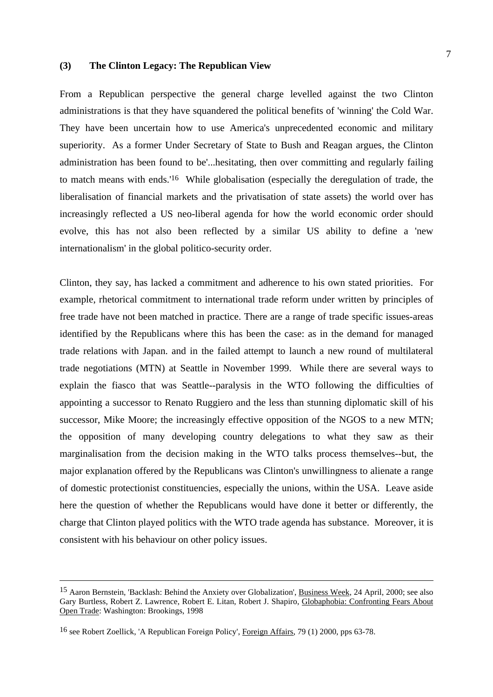## **(3) The Clinton Legacy: The Republican View**

From a Republican perspective the general charge levelled against the two Clinton administrations is that they have squandered the political benefits of 'winning' the Cold War. They have been uncertain how to use America's unprecedented economic and military superiority. As a former Under Secretary of State to Bush and Reagan argues, the Clinton administration has been found to be'...hesitating, then over committing and regularly failing to match means with ends.'16 While globalisation (especially the deregulation of trade, the liberalisation of financial markets and the privatisation of state assets) the world over has increasingly reflected a US neo-liberal agenda for how the world economic order should evolve, this has not also been reflected by a similar US ability to define a 'new internationalism' in the global politico-security order.

Clinton, they say, has lacked a commitment and adherence to his own stated priorities. For example, rhetorical commitment to international trade reform under written by principles of free trade have not been matched in practice. There are a range of trade specific issues-areas identified by the Republicans where this has been the case: as in the demand for managed trade relations with Japan. and in the failed attempt to launch a new round of multilateral trade negotiations (MTN) at Seattle in November 1999. While there are several ways to explain the fiasco that was Seattle--paralysis in the WTO following the difficulties of appointing a successor to Renato Ruggiero and the less than stunning diplomatic skill of his successor, Mike Moore; the increasingly effective opposition of the NGOS to a new MTN; the opposition of many developing country delegations to what they saw as their marginalisation from the decision making in the WTO talks process themselves--but, the major explanation offered by the Republicans was Clinton's unwillingness to alienate a range of domestic protectionist constituencies, especially the unions, within the USA. Leave aside here the question of whether the Republicans would have done it better or differently, the charge that Clinton played politics with the WTO trade agenda has substance. Moreover, it is consistent with his behaviour on other policy issues.

<sup>15</sup> Aaron Bernstein, 'Backlash: Behind the Anxiety over Globalization', Business Week, 24 April, 2000; see also Gary Burtless, Robert Z. Lawrence, Robert E. Litan, Robert J. Shapiro, Globaphobia: Confronting Fears About Open Trade: Washington: Brookings, 1998

<sup>16</sup> see Robert Zoellick, 'A Republican Foreign Policy', Foreign Affairs, 79 (1) 2000, pps 63-78.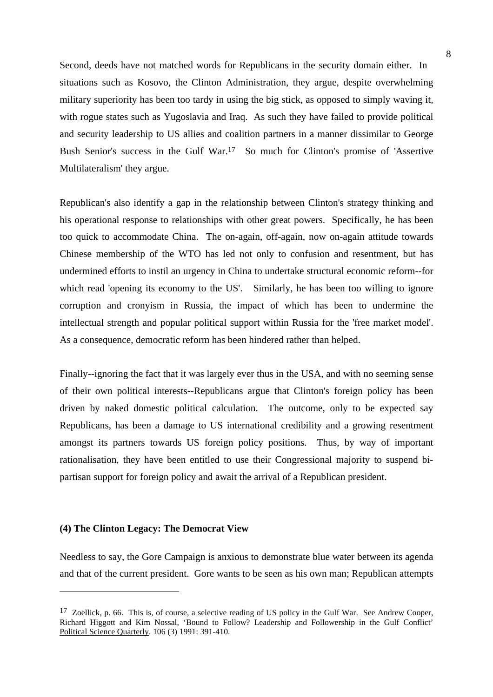Second, deeds have not matched words for Republicans in the security domain either. In situations such as Kosovo, the Clinton Administration, they argue, despite overwhelming military superiority has been too tardy in using the big stick, as opposed to simply waving it, with rogue states such as Yugoslavia and Iraq. As such they have failed to provide political and security leadership to US allies and coalition partners in a manner dissimilar to George Bush Senior's success in the Gulf War.17 So much for Clinton's promise of 'Assertive Multilateralism' they argue.

Republican's also identify a gap in the relationship between Clinton's strategy thinking and his operational response to relationships with other great powers. Specifically, he has been too quick to accommodate China. The on-again, off-again, now on-again attitude towards Chinese membership of the WTO has led not only to confusion and resentment, but has undermined efforts to instil an urgency in China to undertake structural economic reform--for which read 'opening its economy to the US'. Similarly, he has been too willing to ignore corruption and cronyism in Russia, the impact of which has been to undermine the intellectual strength and popular political support within Russia for the 'free market model'. As a consequence, democratic reform has been hindered rather than helped.

Finally--ignoring the fact that it was largely ever thus in the USA, and with no seeming sense of their own political interests--Republicans argue that Clinton's foreign policy has been driven by naked domestic political calculation. The outcome, only to be expected say Republicans, has been a damage to US international credibility and a growing resentment amongst its partners towards US foreign policy positions. Thus, by way of important rationalisation, they have been entitled to use their Congressional majority to suspend bipartisan support for foreign policy and await the arrival of a Republican president.

#### **(4) The Clinton Legacy: The Democrat View**

 $\overline{a}$ 

Needless to say, the Gore Campaign is anxious to demonstrate blue water between its agenda and that of the current president. Gore wants to be seen as his own man; Republican attempts

 $17$  Zoellick, p. 66. This is, of course, a selective reading of US policy in the Gulf War. See Andrew Cooper, Richard Higgott and Kim Nossal, 'Bound to Follow? Leadership and Followership in the Gulf Conflict' Political Science Quarterly. 106 (3) 1991: 391-410.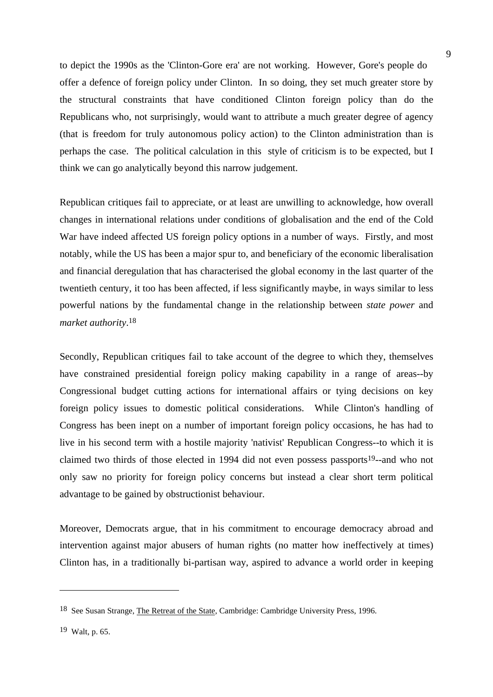to depict the 1990s as the 'Clinton-Gore era' are not working. However, Gore's people do offer a defence of foreign policy under Clinton. In so doing, they set much greater store by the structural constraints that have conditioned Clinton foreign policy than do the Republicans who, not surprisingly, would want to attribute a much greater degree of agency (that is freedom for truly autonomous policy action) to the Clinton administration than is perhaps the case. The political calculation in this style of criticism is to be expected, but I think we can go analytically beyond this narrow judgement.

Republican critiques fail to appreciate, or at least are unwilling to acknowledge, how overall changes in international relations under conditions of globalisation and the end of the Cold War have indeed affected US foreign policy options in a number of ways. Firstly, and most notably, while the US has been a major spur to, and beneficiary of the economic liberalisation and financial deregulation that has characterised the global economy in the last quarter of the twentieth century, it too has been affected, if less significantly maybe, in ways similar to less powerful nations by the fundamental change in the relationship between *state power* and *market authority*. 18

Secondly, Republican critiques fail to take account of the degree to which they, themselves have constrained presidential foreign policy making capability in a range of areas--by Congressional budget cutting actions for international affairs or tying decisions on key foreign policy issues to domestic political considerations. While Clinton's handling of Congress has been inept on a number of important foreign policy occasions, he has had to live in his second term with a hostile majority 'nativist' Republican Congress--to which it is claimed two thirds of those elected in 1994 did not even possess passports<sup>19</sup>--and who not only saw no priority for foreign policy concerns but instead a clear short term political advantage to be gained by obstructionist behaviour.

Moreover, Democrats argue, that in his commitment to encourage democracy abroad and intervention against major abusers of human rights (no matter how ineffectively at times) Clinton has, in a traditionally bi-partisan way, aspired to advance a world order in keeping

<sup>18</sup> See Susan Strange, The Retreat of the State, Cambridge: Cambridge University Press, 1996.

<sup>19</sup> Walt, p. 65.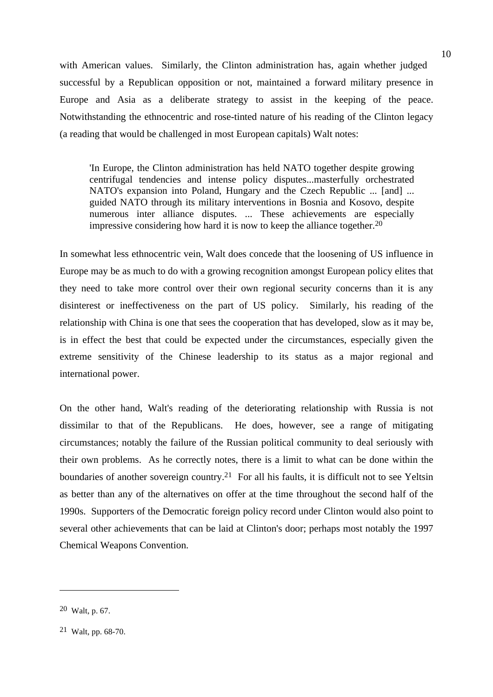with American values. Similarly, the Clinton administration has, again whether judged successful by a Republican opposition or not, maintained a forward military presence in Europe and Asia as a deliberate strategy to assist in the keeping of the peace. Notwithstanding the ethnocentric and rose-tinted nature of his reading of the Clinton legacy (a reading that would be challenged in most European capitals) Walt notes:

'In Europe, the Clinton administration has held NATO together despite growing centrifugal tendencies and intense policy disputes...masterfully orchestrated NATO's expansion into Poland, Hungary and the Czech Republic ... [and] ... guided NATO through its military interventions in Bosnia and Kosovo, despite numerous inter alliance disputes. ... These achievements are especially impressive considering how hard it is now to keep the alliance together.20

In somewhat less ethnocentric vein, Walt does concede that the loosening of US influence in Europe may be as much to do with a growing recognition amongst European policy elites that they need to take more control over their own regional security concerns than it is any disinterest or ineffectiveness on the part of US policy. Similarly, his reading of the relationship with China is one that sees the cooperation that has developed, slow as it may be, is in effect the best that could be expected under the circumstances, especially given the extreme sensitivity of the Chinese leadership to its status as a major regional and international power.

On the other hand, Walt's reading of the deteriorating relationship with Russia is not dissimilar to that of the Republicans. He does, however, see a range of mitigating circumstances; notably the failure of the Russian political community to deal seriously with their own problems. As he correctly notes, there is a limit to what can be done within the boundaries of another sovereign country.21 For all his faults, it is difficult not to see Yeltsin as better than any of the alternatives on offer at the time throughout the second half of the 1990s. Supporters of the Democratic foreign policy record under Clinton would also point to several other achievements that can be laid at Clinton's door; perhaps most notably the 1997 Chemical Weapons Convention.

<sup>20</sup> Walt, p. 67.

<sup>21</sup> Walt, pp. 68-70.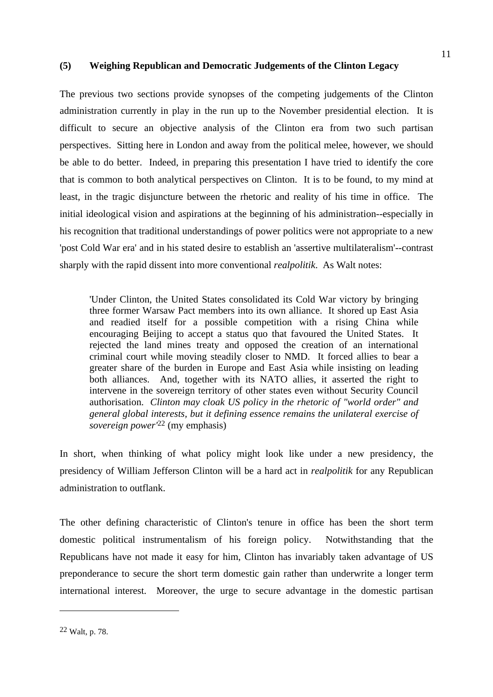## **(5) Weighing Republican and Democratic Judgements of the Clinton Legacy**

The previous two sections provide synopses of the competing judgements of the Clinton administration currently in play in the run up to the November presidential election. It is difficult to secure an objective analysis of the Clinton era from two such partisan perspectives. Sitting here in London and away from the political melee, however, we should be able to do better. Indeed, in preparing this presentation I have tried to identify the core that is common to both analytical perspectives on Clinton. It is to be found, to my mind at least, in the tragic disjuncture between the rhetoric and reality of his time in office. The initial ideological vision and aspirations at the beginning of his administration--especially in his recognition that traditional understandings of power politics were not appropriate to a new 'post Cold War era' and in his stated desire to establish an 'assertive multilateralism'--contrast sharply with the rapid dissent into more conventional *realpolitik*. As Walt notes:

'Under Clinton, the United States consolidated its Cold War victory by bringing three former Warsaw Pact members into its own alliance. It shored up East Asia and readied itself for a possible competition with a rising China while encouraging Beijing to accept a status quo that favoured the United States. It rejected the land mines treaty and opposed the creation of an international criminal court while moving steadily closer to NMD. It forced allies to bear a greater share of the burden in Europe and East Asia while insisting on leading both alliances. And, together with its NATO allies, it asserted the right to intervene in the sovereign territory of other states even without Security Council authorisation. *Clinton may cloak US policy in the rhetoric of "world order" and general global interests, but it defining essence remains the unilateral exercise of sovereign power'*22 (my emphasis)

In short, when thinking of what policy might look like under a new presidency, the presidency of William Jefferson Clinton will be a hard act in *realpolitik* for any Republican administration to outflank.

The other defining characteristic of Clinton's tenure in office has been the short term domestic political instrumentalism of his foreign policy. Notwithstanding that the Republicans have not made it easy for him, Clinton has invariably taken advantage of US preponderance to secure the short term domestic gain rather than underwrite a longer term international interest. Moreover, the urge to secure advantage in the domestic partisan

<sup>11</sup>

<sup>22</sup> Walt, p. 78.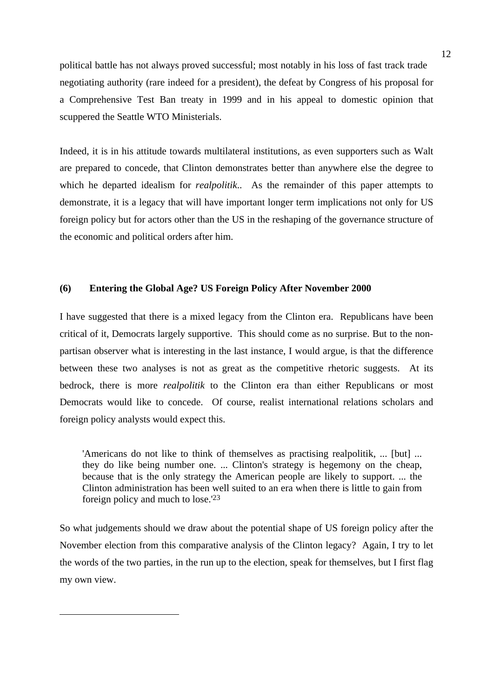political battle has not always proved successful; most notably in his loss of fast track trade negotiating authority (rare indeed for a president), the defeat by Congress of his proposal for a Comprehensive Test Ban treaty in 1999 and in his appeal to domestic opinion that scuppered the Seattle WTO Ministerials.

Indeed, it is in his attitude towards multilateral institutions, as even supporters such as Walt are prepared to concede, that Clinton demonstrates better than anywhere else the degree to which he departed idealism for *realpolitik*.. As the remainder of this paper attempts to demonstrate, it is a legacy that will have important longer term implications not only for US foreign policy but for actors other than the US in the reshaping of the governance structure of the economic and political orders after him.

## **(6) Entering the Global Age? US Foreign Policy After November 2000**

I have suggested that there is a mixed legacy from the Clinton era. Republicans have been critical of it, Democrats largely supportive. This should come as no surprise. But to the nonpartisan observer what is interesting in the last instance, I would argue, is that the difference between these two analyses is not as great as the competitive rhetoric suggests. At its bedrock, there is more *realpolitik* to the Clinton era than either Republicans or most Democrats would like to concede. Of course, realist international relations scholars and foreign policy analysts would expect this.

'Americans do not like to think of themselves as practising realpolitik, ... [but] ... they do like being number one. ... Clinton's strategy is hegemony on the cheap, because that is the only strategy the American people are likely to support. ... the Clinton administration has been well suited to an era when there is little to gain from foreign policy and much to lose.'23

So what judgements should we draw about the potential shape of US foreign policy after the November election from this comparative analysis of the Clinton legacy? Again, I try to let the words of the two parties, in the run up to the election, speak for themselves, but I first flag my own view.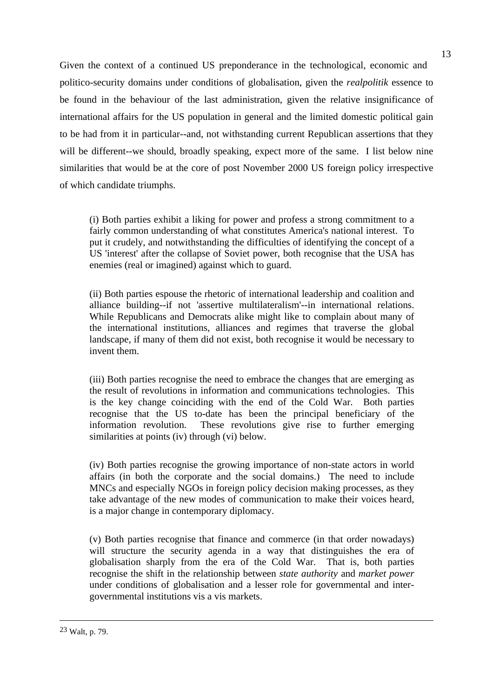Given the context of a continued US preponderance in the technological, economic and politico-security domains under conditions of globalisation, given the *realpolitik* essence to be found in the behaviour of the last administration, given the relative insignificance of international affairs for the US population in general and the limited domestic political gain to be had from it in particular--and, not withstanding current Republican assertions that they will be different--we should, broadly speaking, expect more of the same. I list below nine similarities that would be at the core of post November 2000 US foreign policy irrespective of which candidate triumphs.

(i) Both parties exhibit a liking for power and profess a strong commitment to a fairly common understanding of what constitutes America's national interest. To put it crudely, and notwithstanding the difficulties of identifying the concept of a US 'interest' after the collapse of Soviet power, both recognise that the USA has enemies (real or imagined) against which to guard.

(ii) Both parties espouse the rhetoric of international leadership and coalition and alliance building--if not 'assertive multilateralism'--in international relations. While Republicans and Democrats alike might like to complain about many of the international institutions, alliances and regimes that traverse the global landscape, if many of them did not exist, both recognise it would be necessary to invent them.

(iii) Both parties recognise the need to embrace the changes that are emerging as the result of revolutions in information and communications technologies. This is the key change coinciding with the end of the Cold War. Both parties recognise that the US to-date has been the principal beneficiary of the information revolution. These revolutions give rise to further emerging similarities at points (iv) through (vi) below.

(iv) Both parties recognise the growing importance of non-state actors in world affairs (in both the corporate and the social domains.) The need to include MNCs and especially NGOs in foreign policy decision making processes, as they take advantage of the new modes of communication to make their voices heard, is a major change in contemporary diplomacy.

(v) Both parties recognise that finance and commerce (in that order nowadays) will structure the security agenda in a way that distinguishes the era of globalisation sharply from the era of the Cold War. That is, both parties recognise the shift in the relationship between *state authority* and *market power* under conditions of globalisation and a lesser role for governmental and intergovernmental institutions vis a vis markets.

<sup>23</sup> Walt, p. 79.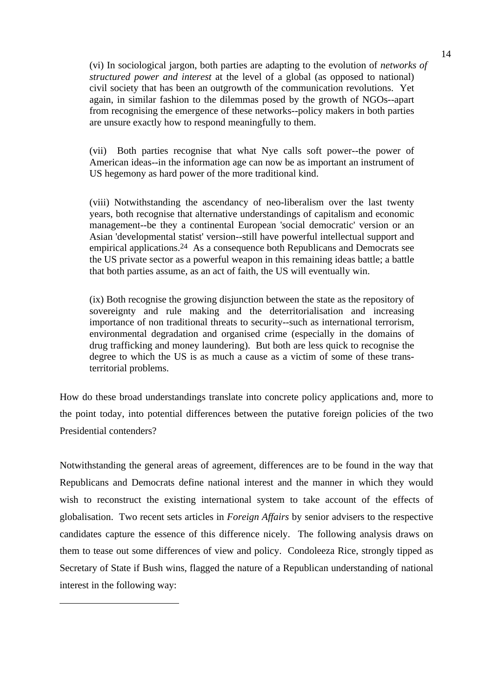(vi) In sociological jargon, both parties are adapting to the evolution of *networks of structured power and interest* at the level of a global (as opposed to national) civil society that has been an outgrowth of the communication revolutions. Yet again, in similar fashion to the dilemmas posed by the growth of NGOs--apart from recognising the emergence of these networks--policy makers in both parties are unsure exactly how to respond meaningfully to them.

(vii) Both parties recognise that what Nye calls soft power--the power of American ideas--in the information age can now be as important an instrument of US hegemony as hard power of the more traditional kind.

(viii) Notwithstanding the ascendancy of neo-liberalism over the last twenty years, both recognise that alternative understandings of capitalism and economic management--be they a continental European 'social democratic' version or an Asian 'developmental statist' version--still have powerful intellectual support and empirical applications.24 As a consequence both Republicans and Democrats see the US private sector as a powerful weapon in this remaining ideas battle; a battle that both parties assume, as an act of faith, the US will eventually win.

(ix) Both recognise the growing disjunction between the state as the repository of sovereignty and rule making and the deterritorialisation and increasing importance of non traditional threats to security--such as international terrorism, environmental degradation and organised crime (especially in the domains of drug trafficking and money laundering). But both are less quick to recognise the degree to which the US is as much a cause as a victim of some of these transterritorial problems.

How do these broad understandings translate into concrete policy applications and, more to the point today, into potential differences between the putative foreign policies of the two Presidential contenders?

Notwithstanding the general areas of agreement, differences are to be found in the way that Republicans and Democrats define national interest and the manner in which they would wish to reconstruct the existing international system to take account of the effects of globalisation. Two recent sets articles in *Foreign Affairs* by senior advisers to the respective candidates capture the essence of this difference nicely. The following analysis draws on them to tease out some differences of view and policy. Condoleeza Rice, strongly tipped as Secretary of State if Bush wins, flagged the nature of a Republican understanding of national interest in the following way:

 $\overline{a}$ 

14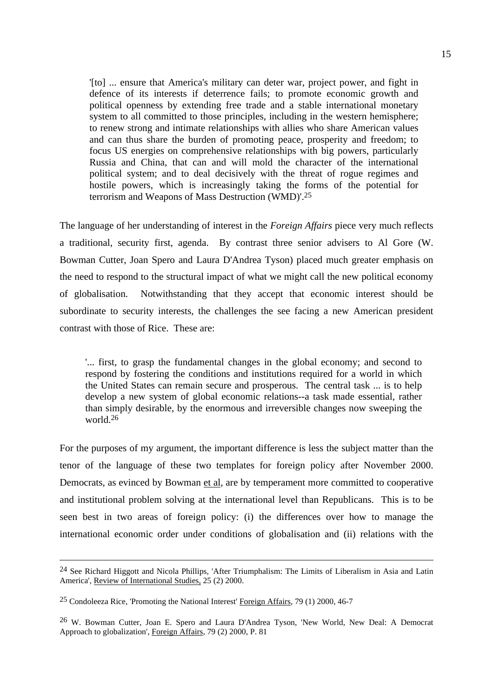'[to] ... ensure that America's military can deter war, project power, and fight in defence of its interests if deterrence fails; to promote economic growth and political openness by extending free trade and a stable international monetary system to all committed to those principles, including in the western hemisphere; to renew strong and intimate relationships with allies who share American values and can thus share the burden of promoting peace, prosperity and freedom; to focus US energies on comprehensive relationships with big powers, particularly Russia and China, that can and will mold the character of the international political system; and to deal decisively with the threat of rogue regimes and hostile powers, which is increasingly taking the forms of the potential for terrorism and Weapons of Mass Destruction (WMD)'.25

The language of her understanding of interest in the *Foreign Affairs* piece very much reflects a traditional, security first, agenda. By contrast three senior advisers to Al Gore (W. Bowman Cutter, Joan Spero and Laura D'Andrea Tyson) placed much greater emphasis on the need to respond to the structural impact of what we might call the new political economy of globalisation. Notwithstanding that they accept that economic interest should be subordinate to security interests, the challenges the see facing a new American president contrast with those of Rice. These are:

'... first, to grasp the fundamental changes in the global economy; and second to respond by fostering the conditions and institutions required for a world in which the United States can remain secure and prosperous. The central task ... is to help develop a new system of global economic relations--a task made essential, rather than simply desirable, by the enormous and irreversible changes now sweeping the world.26

For the purposes of my argument, the important difference is less the subject matter than the tenor of the language of these two templates for foreign policy after November 2000. Democrats, as evinced by Bowman et al, are by temperament more committed to cooperative and institutional problem solving at the international level than Republicans. This is to be seen best in two areas of foreign policy: (i) the differences over how to manage the international economic order under conditions of globalisation and (ii) relations with the

<sup>24</sup> See Richard Higgott and Nicola Phillips, 'After Triumphalism: The Limits of Liberalism in Asia and Latin America', Review of International Studies, 25 (2) 2000.

<sup>25</sup> Condoleeza Rice, 'Promoting the National Interest' Foreign Affairs, 79 (1) 2000, 46-7

<sup>26</sup> W. Bowman Cutter, Joan E. Spero and Laura D'Andrea Tyson, 'New World, New Deal: A Democrat Approach to globalization', Foreign Affairs, 79 (2) 2000, P. 81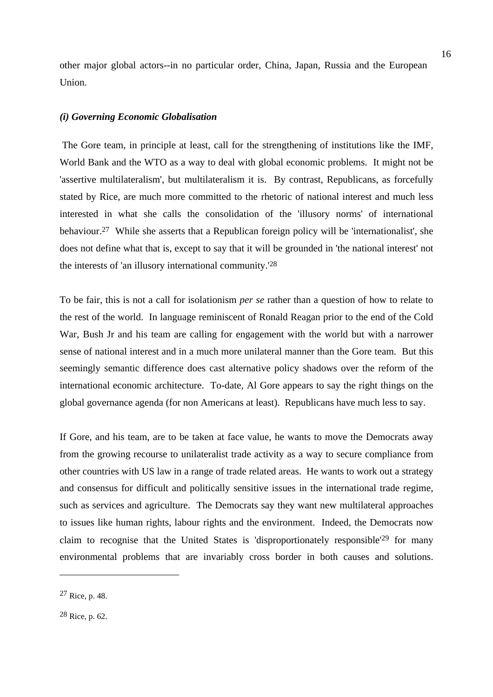other major global actors--in no particular order, China, Japan, Russia and the European Union.

## *(i) Governing Economic Globalisation*

 The Gore team, in principle at least, call for the strengthening of institutions like the IMF, World Bank and the WTO as a way to deal with global economic problems. It might not be 'assertive multilateralism', but multilateralism it is. By contrast, Republicans, as forcefully stated by Rice, are much more committed to the rhetoric of national interest and much less interested in what she calls the consolidation of the 'illusory norms' of international behaviour.27 While she asserts that a Republican foreign policy will be 'internationalist', she does not define what that is, except to say that it will be grounded in 'the national interest' not the interests of 'an illusory international community.'28

To be fair, this is not a call for isolationism *per se* rather than a question of how to relate to the rest of the world. In language reminiscent of Ronald Reagan prior to the end of the Cold War, Bush Jr and his team are calling for engagement with the world but with a narrower sense of national interest and in a much more unilateral manner than the Gore team. But this seemingly semantic difference does cast alternative policy shadows over the reform of the international economic architecture. To-date, Al Gore appears to say the right things on the global governance agenda (for non Americans at least). Republicans have much less to say.

If Gore, and his team, are to be taken at face value, he wants to move the Democrats away from the growing recourse to unilateralist trade activity as a way to secure compliance from other countries with US law in a range of trade related areas. He wants to work out a strategy and consensus for difficult and politically sensitive issues in the international trade regime, such as services and agriculture. The Democrats say they want new multilateral approaches to issues like human rights, labour rights and the environment. Indeed, the Democrats now claim to recognise that the United States is 'disproportionately responsible'29 for many environmental problems that are invariably cross border in both causes and solutions.

<sup>27</sup> Rice, p. 48.

<sup>28</sup> Rice, p. 62.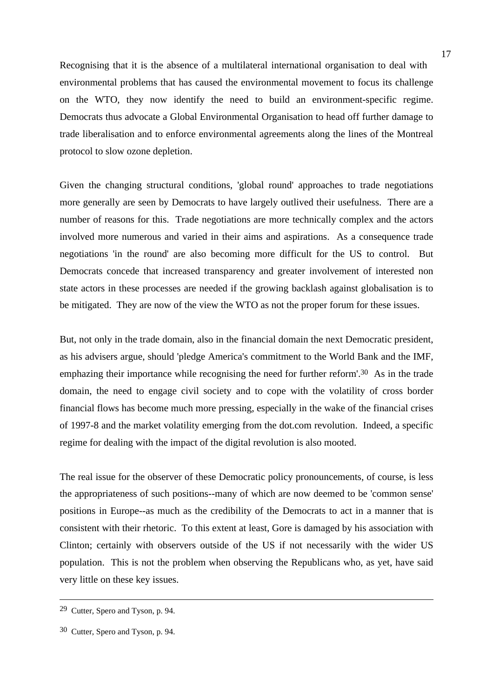Recognising that it is the absence of a multilateral international organisation to deal with environmental problems that has caused the environmental movement to focus its challenge on the WTO, they now identify the need to build an environment-specific regime. Democrats thus advocate a Global Environmental Organisation to head off further damage to trade liberalisation and to enforce environmental agreements along the lines of the Montreal protocol to slow ozone depletion.

Given the changing structural conditions, 'global round' approaches to trade negotiations more generally are seen by Democrats to have largely outlived their usefulness. There are a number of reasons for this. Trade negotiations are more technically complex and the actors involved more numerous and varied in their aims and aspirations. As a consequence trade negotiations 'in the round' are also becoming more difficult for the US to control. But Democrats concede that increased transparency and greater involvement of interested non state actors in these processes are needed if the growing backlash against globalisation is to be mitigated. They are now of the view the WTO as not the proper forum for these issues.

But, not only in the trade domain, also in the financial domain the next Democratic president, as his advisers argue, should 'pledge America's commitment to the World Bank and the IMF, emphazing their importance while recognising the need for further reform'.<sup>30</sup> As in the trade domain, the need to engage civil society and to cope with the volatility of cross border financial flows has become much more pressing, especially in the wake of the financial crises of 1997-8 and the market volatility emerging from the dot.com revolution. Indeed, a specific regime for dealing with the impact of the digital revolution is also mooted.

The real issue for the observer of these Democratic policy pronouncements, of course, is less the appropriateness of such positions--many of which are now deemed to be 'common sense' positions in Europe--as much as the credibility of the Democrats to act in a manner that is consistent with their rhetoric. To this extent at least, Gore is damaged by his association with Clinton; certainly with observers outside of the US if not necessarily with the wider US population. This is not the problem when observing the Republicans who, as yet, have said very little on these key issues.

<sup>29</sup> Cutter, Spero and Tyson, p. 94.

<sup>30</sup> Cutter, Spero and Tyson, p. 94.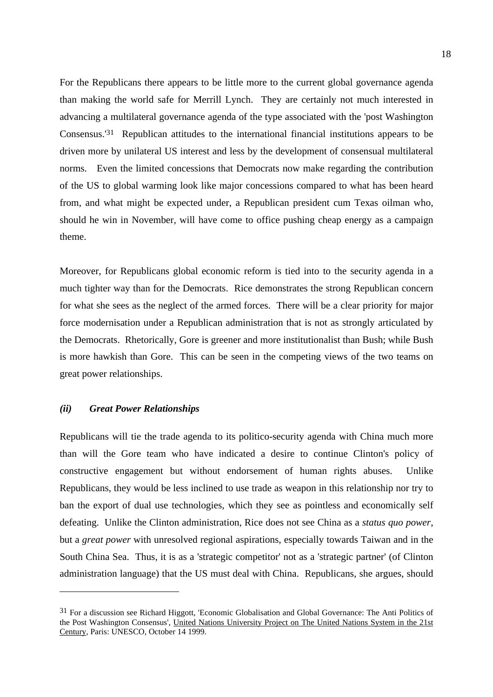For the Republicans there appears to be little more to the current global governance agenda than making the world safe for Merrill Lynch. They are certainly not much interested in advancing a multilateral governance agenda of the type associated with the 'post Washington Consensus.'31 Republican attitudes to the international financial institutions appears to be driven more by unilateral US interest and less by the development of consensual multilateral norms. Even the limited concessions that Democrats now make regarding the contribution of the US to global warming look like major concessions compared to what has been heard from, and what might be expected under, a Republican president cum Texas oilman who, should he win in November, will have come to office pushing cheap energy as a campaign theme.

Moreover, for Republicans global economic reform is tied into to the security agenda in a much tighter way than for the Democrats. Rice demonstrates the strong Republican concern for what she sees as the neglect of the armed forces. There will be a clear priority for major force modernisation under a Republican administration that is not as strongly articulated by the Democrats. Rhetorically, Gore is greener and more institutionalist than Bush; while Bush is more hawkish than Gore. This can be seen in the competing views of the two teams on great power relationships.

#### *(ii) Great Power Relationships*

 $\overline{a}$ 

Republicans will tie the trade agenda to its politico-security agenda with China much more than will the Gore team who have indicated a desire to continue Clinton's policy of constructive engagement but without endorsement of human rights abuses. Unlike Republicans, they would be less inclined to use trade as weapon in this relationship nor try to ban the export of dual use technologies, which they see as pointless and economically self defeating. Unlike the Clinton administration, Rice does not see China as a *status quo power*, but a *great power* with unresolved regional aspirations, especially towards Taiwan and in the South China Sea. Thus, it is as a 'strategic competitor' not as a 'strategic partner' (of Clinton administration language) that the US must deal with China. Republicans, she argues, should

<sup>31</sup> For a discussion see Richard Higgott, 'Economic Globalisation and Global Governance: The Anti Politics of the Post Washington Consensus', United Nations University Project on The United Nations System in the 21st Century, Paris: UNESCO, October 14 1999.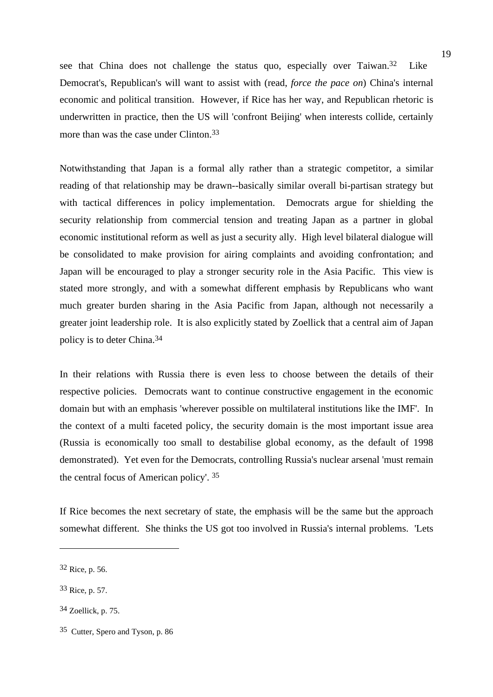see that China does not challenge the status quo, especially over Taiwan.32 Like Democrat's, Republican's will want to assist with (read, *force the pace on*) China's internal economic and political transition. However, if Rice has her way, and Republican rhetoric is underwritten in practice, then the US will 'confront Beijing' when interests collide, certainly more than was the case under Clinton.33

Notwithstanding that Japan is a formal ally rather than a strategic competitor, a similar reading of that relationship may be drawn--basically similar overall bi-partisan strategy but with tactical differences in policy implementation. Democrats argue for shielding the security relationship from commercial tension and treating Japan as a partner in global economic institutional reform as well as just a security ally. High level bilateral dialogue will be consolidated to make provision for airing complaints and avoiding confrontation; and Japan will be encouraged to play a stronger security role in the Asia Pacific. This view is stated more strongly, and with a somewhat different emphasis by Republicans who want much greater burden sharing in the Asia Pacific from Japan, although not necessarily a greater joint leadership role. It is also explicitly stated by Zoellick that a central aim of Japan policy is to deter China.34

In their relations with Russia there is even less to choose between the details of their respective policies. Democrats want to continue constructive engagement in the economic domain but with an emphasis 'wherever possible on multilateral institutions like the IMF'. In the context of a multi faceted policy, the security domain is the most important issue area (Russia is economically too small to destabilise global economy, as the default of 1998 demonstrated). Yet even for the Democrats, controlling Russia's nuclear arsenal 'must remain the central focus of American policy'. 35

If Rice becomes the next secretary of state, the emphasis will be the same but the approach somewhat different. She thinks the US got too involved in Russia's internal problems. 'Lets

<sup>32</sup> Rice, p. 56.

<sup>33</sup> Rice, p. 57.

<sup>34</sup> Zoellick, p. 75.

<sup>35</sup> Cutter, Spero and Tyson, p. 86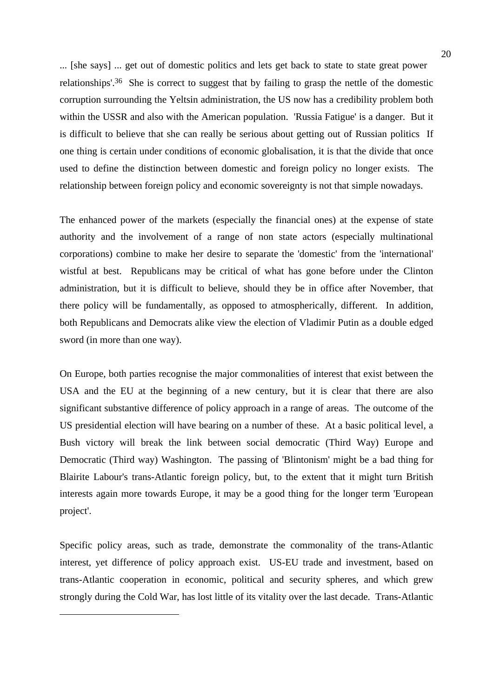... [she says] ... get out of domestic politics and lets get back to state to state great power relationships'.36She is correct to suggest that by failing to grasp the nettle of the domestic corruption surrounding the Yeltsin administration, the US now has a credibility problem both within the USSR and also with the American population. 'Russia Fatigue' is a danger. But it is difficult to believe that she can really be serious about getting out of Russian politics If one thing is certain under conditions of economic globalisation, it is that the divide that once used to define the distinction between domestic and foreign policy no longer exists. The relationship between foreign policy and economic sovereignty is not that simple nowadays.

The enhanced power of the markets (especially the financial ones) at the expense of state authority and the involvement of a range of non state actors (especially multinational corporations) combine to make her desire to separate the 'domestic' from the 'international' wistful at best. Republicans may be critical of what has gone before under the Clinton administration, but it is difficult to believe, should they be in office after November, that there policy will be fundamentally, as opposed to atmospherically, different. In addition, both Republicans and Democrats alike view the election of Vladimir Putin as a double edged sword (in more than one way).

On Europe, both parties recognise the major commonalities of interest that exist between the USA and the EU at the beginning of a new century, but it is clear that there are also significant substantive difference of policy approach in a range of areas. The outcome of the US presidential election will have bearing on a number of these. At a basic political level, a Bush victory will break the link between social democratic (Third Way) Europe and Democratic (Third way) Washington. The passing of 'Blintonism' might be a bad thing for Blairite Labour's trans-Atlantic foreign policy, but, to the extent that it might turn British interests again more towards Europe, it may be a good thing for the longer term 'European project'.

Specific policy areas, such as trade, demonstrate the commonality of the trans-Atlantic interest, yet difference of policy approach exist. US-EU trade and investment, based on trans-Atlantic cooperation in economic, political and security spheres, and which grew strongly during the Cold War, has lost little of its vitality over the last decade. Trans-Atlantic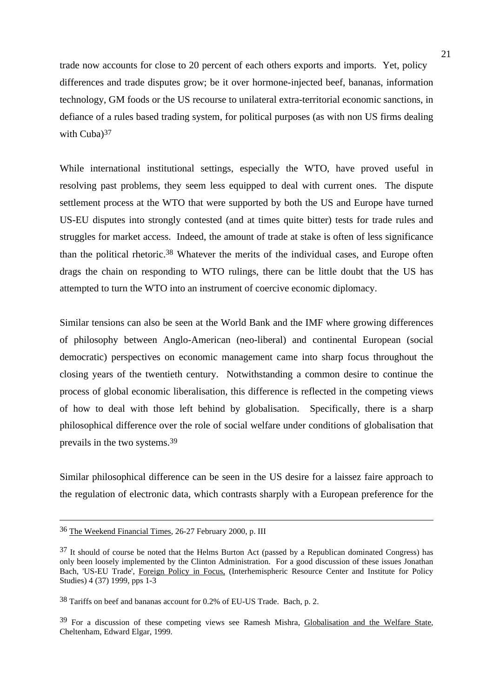trade now accounts for close to 20 percent of each others exports and imports. Yet, policy differences and trade disputes grow; be it over hormone-injected beef, bananas, information technology, GM foods or the US recourse to unilateral extra-territorial economic sanctions, in defiance of a rules based trading system, for political purposes (as with non US firms dealing with Cuba)<sup>37</sup>

While international institutional settings, especially the WTO, have proved useful in resolving past problems, they seem less equipped to deal with current ones. The dispute settlement process at the WTO that were supported by both the US and Europe have turned US-EU disputes into strongly contested (and at times quite bitter) tests for trade rules and struggles for market access. Indeed, the amount of trade at stake is often of less significance than the political rhetoric.38 Whatever the merits of the individual cases, and Europe often drags the chain on responding to WTO rulings, there can be little doubt that the US has attempted to turn the WTO into an instrument of coercive economic diplomacy.

Similar tensions can also be seen at the World Bank and the IMF where growing differences of philosophy between Anglo-American (neo-liberal) and continental European (social democratic) perspectives on economic management came into sharp focus throughout the closing years of the twentieth century. Notwithstanding a common desire to continue the process of global economic liberalisation, this difference is reflected in the competing views of how to deal with those left behind by globalisation. Specifically, there is a sharp philosophical difference over the role of social welfare under conditions of globalisation that prevails in the two systems.39

Similar philosophical difference can be seen in the US desire for a laissez faire approach to the regulation of electronic data, which contrasts sharply with a European preference for the

<sup>36</sup> The Weekend Financial Times, 26-27 February 2000, p. III

<sup>37</sup> It should of course be noted that the Helms Burton Act (passed by a Republican dominated Congress) has only been loosely implemented by the Clinton Administration. For a good discussion of these issues Jonathan Bach, 'US-EU Trade', Foreign Policy in Focus, (Interhemispheric Resource Center and Institute for Policy Studies) 4 (37) 1999, pps 1-3

<sup>38</sup> Tariffs on beef and bananas account for 0.2% of EU-US Trade. Bach, p. 2.

<sup>39</sup> For a discussion of these competing views see Ramesh Mishra, Globalisation and the Welfare State, Cheltenham, Edward Elgar, 1999.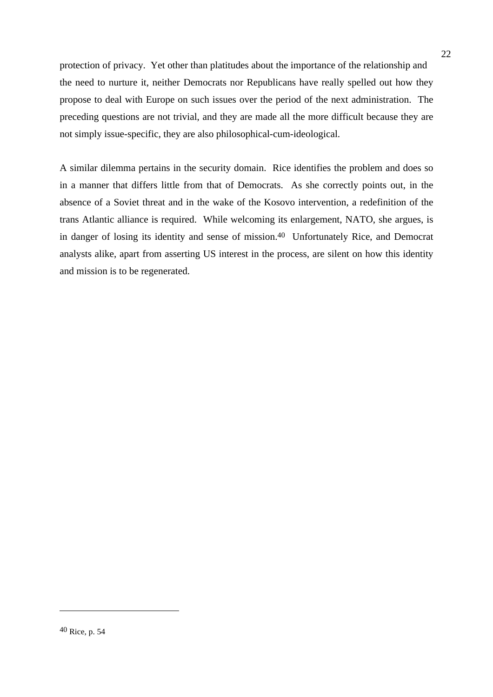protection of privacy. Yet other than platitudes about the importance of the relationship and the need to nurture it, neither Democrats nor Republicans have really spelled out how they propose to deal with Europe on such issues over the period of the next administration. The preceding questions are not trivial, and they are made all the more difficult because they are not simply issue-specific, they are also philosophical-cum-ideological.

A similar dilemma pertains in the security domain. Rice identifies the problem and does so in a manner that differs little from that of Democrats. As she correctly points out, in the absence of a Soviet threat and in the wake of the Kosovo intervention, a redefinition of the trans Atlantic alliance is required. While welcoming its enlargement, NATO, she argues, is in danger of losing its identity and sense of mission.40 Unfortunately Rice, and Democrat analysts alike, apart from asserting US interest in the process, are silent on how this identity and mission is to be regenerated.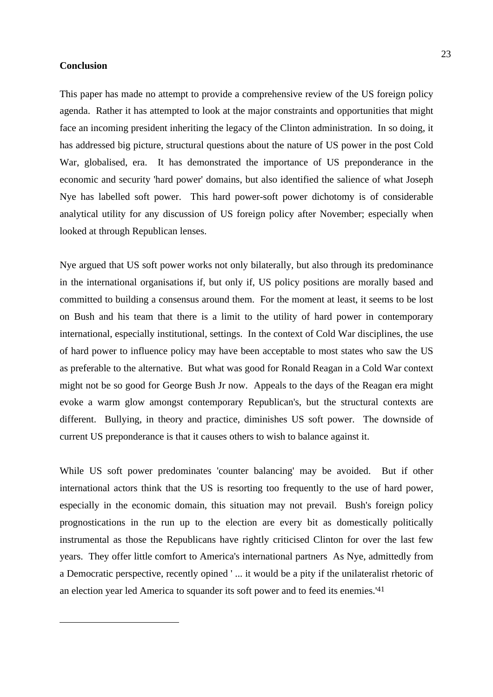## **Conclusion**

 $\overline{a}$ 

This paper has made no attempt to provide a comprehensive review of the US foreign policy agenda. Rather it has attempted to look at the major constraints and opportunities that might face an incoming president inheriting the legacy of the Clinton administration. In so doing, it has addressed big picture, structural questions about the nature of US power in the post Cold War, globalised, era. It has demonstrated the importance of US preponderance in the economic and security 'hard power' domains, but also identified the salience of what Joseph Nye has labelled soft power. This hard power-soft power dichotomy is of considerable analytical utility for any discussion of US foreign policy after November; especially when looked at through Republican lenses.

Nye argued that US soft power works not only bilaterally, but also through its predominance in the international organisations if, but only if, US policy positions are morally based and committed to building a consensus around them. For the moment at least, it seems to be lost on Bush and his team that there is a limit to the utility of hard power in contemporary international, especially institutional, settings. In the context of Cold War disciplines, the use of hard power to influence policy may have been acceptable to most states who saw the US as preferable to the alternative. But what was good for Ronald Reagan in a Cold War context might not be so good for George Bush Jr now. Appeals to the days of the Reagan era might evoke a warm glow amongst contemporary Republican's, but the structural contexts are different. Bullying, in theory and practice, diminishes US soft power. The downside of current US preponderance is that it causes others to wish to balance against it.

While US soft power predominates 'counter balancing' may be avoided. But if other international actors think that the US is resorting too frequently to the use of hard power, especially in the economic domain, this situation may not prevail. Bush's foreign policy prognostications in the run up to the election are every bit as domestically politically instrumental as those the Republicans have rightly criticised Clinton for over the last few years. They offer little comfort to America's international partners As Nye, admittedly from a Democratic perspective, recently opined ' ... it would be a pity if the unilateralist rhetoric of an election year led America to squander its soft power and to feed its enemies.'41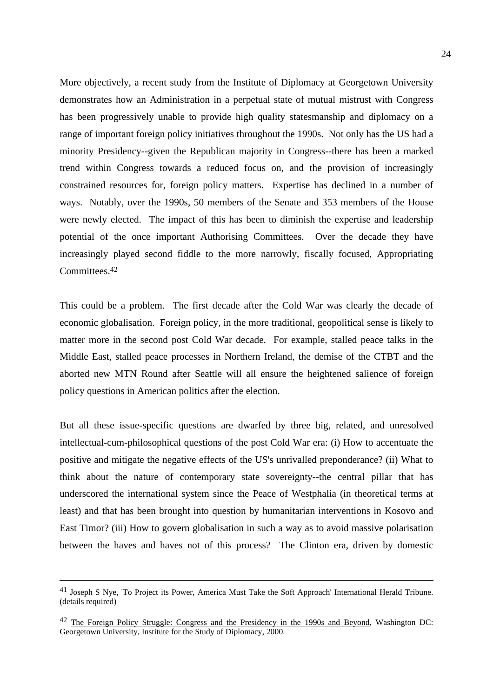More objectively, a recent study from the Institute of Diplomacy at Georgetown University demonstrates how an Administration in a perpetual state of mutual mistrust with Congress has been progressively unable to provide high quality statesmanship and diplomacy on a range of important foreign policy initiatives throughout the 1990s. Not only has the US had a minority Presidency--given the Republican majority in Congress--there has been a marked trend within Congress towards a reduced focus on, and the provision of increasingly constrained resources for, foreign policy matters. Expertise has declined in a number of ways. Notably, over the 1990s, 50 members of the Senate and 353 members of the House were newly elected. The impact of this has been to diminish the expertise and leadership potential of the once important Authorising Committees. Over the decade they have increasingly played second fiddle to the more narrowly, fiscally focused, Appropriating Committees.42

This could be a problem. The first decade after the Cold War was clearly the decade of economic globalisation. Foreign policy, in the more traditional, geopolitical sense is likely to matter more in the second post Cold War decade. For example, stalled peace talks in the Middle East, stalled peace processes in Northern Ireland, the demise of the CTBT and the aborted new MTN Round after Seattle will all ensure the heightened salience of foreign policy questions in American politics after the election.

But all these issue-specific questions are dwarfed by three big, related, and unresolved intellectual-cum-philosophical questions of the post Cold War era: (i) How to accentuate the positive and mitigate the negative effects of the US's unrivalled preponderance? (ii) What to think about the nature of contemporary state sovereignty--the central pillar that has underscored the international system since the Peace of Westphalia (in theoretical terms at least) and that has been brought into question by humanitarian interventions in Kosovo and East Timor? (iii) How to govern globalisation in such a way as to avoid massive polarisation between the haves and haves not of this process? The Clinton era, driven by domestic

<sup>41</sup> Joseph S Nye, 'To Project its Power, America Must Take the Soft Approach' International Herald Tribune. (details required)

<sup>42</sup> The Foreign Policy Struggle: Congress and the Presidency in the 1990s and Beyond, Washington DC: Georgetown University, Institute for the Study of Diplomacy, 2000.